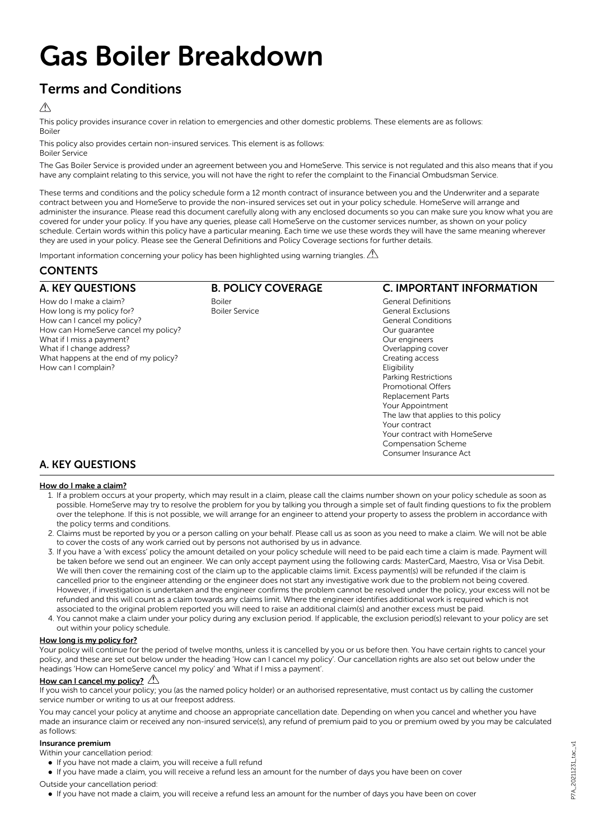# Gas Boiler Breakdown

# Terms and Conditions

### $\triangle$

This policy provides insurance cover in relation to emergencies and other domestic problems. These elements are as follows: Boiler

This policy also provides certain non-insured services. This element is as follows: Boiler Service

The Gas Boiler Service is provided under an agreement between you and HomeServe. This service is not regulated and this also means that if you have any complaint relating to this service, you will not have the right to refer the complaint to the Financial Ombudsman Service.

These terms and conditions and the policy schedule form a 12 month contract of insurance between you and the Underwriter and a separate contract between you and HomeServe to provide the non-insured services set out in your policy schedule. HomeServe will arrange and administer the insurance. Please read this document carefully along with any enclosed documents so you can make sure you know what you are covered for under your policy. If you have any queries, please call HomeServe on the customer services number, as shown on your policy schedule. Certain words within this policy have a particular meaning. Each time we use these words they will have the same meaning wherever they are used in your policy. Please see the General Definitions and Policy Coverage sections for further details.

Important information concerning your policy has been highlighted using warning triangles.  $\Lambda$ 

## **CONTENTS**

## B. POLICY COVERAGE

A. KEY QUESTIONS How do I make a claim? How long is my policy for? How can I cancel my policy? How can HomeServe cancel my policy? What if I miss a payment? What if I change address? What happens at the end of my policy? How can I complain?

Boiler Boiler Service

## C. IMPORTANT INFORMATION

General Definitions General Exclusions General Conditions Our guarantee Our engineers Overlapping cover Creating access **Fligibility** Parking Restrictions Promotional Offers Replacement Parts Your Appointment The law that applies to this policy Your contract Your contract with HomeServe Compensation Scheme Consumer Insurance Act

## A. KEY QUESTIONS

#### How do I make a claim?

- 1. If a problem occurs at your property, which may result in a claim, please call the claims number shown on your policy schedule as soon as possible. HomeServe may try to resolve the problem for you by talking you through a simple set of fault finding questions to fix the problem over the telephone. If this is not possible, we will arrange for an engineer to attend your property to assess the problem in accordance with the policy terms and conditions.
- 2. Claims must be reported by you or a person calling on your behalf. Please call us as soon as you need to make a claim. We will not be able to cover the costs of any work carried out by persons not authorised by us in advance.
- 3. If you have a 'with excess' policy the amount detailed on your policy schedule will need to be paid each time a claim is made. Payment will be taken before we send out an engineer. We can only accept payment using the following cards: MasterCard, Maestro, Visa or Visa Debit. We will then cover the remaining cost of the claim up to the applicable claims limit. Excess payment(s) will be refunded if the claim is cancelled prior to the engineer attending or the engineer does not start any investigative work due to the problem not being covered. However, if investigation is undertaken and the engineer confirms the problem cannot be resolved under the policy, your excess will not be refunded and this will count as a claim towards any claims limit. Where the engineer identifies additional work is required which is not associated to the original problem reported you will need to raise an additional claim(s) and another excess must be paid.
- 4. You cannot make a claim under your policy during any exclusion period. If applicable, the exclusion period(s) relevant to your policy are set out within your policy schedule.

#### How long is my policy for?

Your policy will continue for the period of twelve months, unless it is cancelled by you or us before then. You have certain rights to cancel your policy, and these are set out below under the heading 'How can I cancel my policy'. Our cancellation rights are also set out below under the headings 'How can HomeServe cancel my policy' and 'What if I miss a payment'.

#### How can I cancel my policy?  $\triangle$

If you wish to cancel your policy; you (as the named policy holder) or an authorised representative, must contact us by calling the customer service number or writing to us at our freepost address.

You may cancel your policy at anytime and choose an appropriate cancellation date. Depending on when you cancel and whether you have made an insurance claim or received any non-insured service(s), any refund of premium paid to you or premium owed by you may be calculated as follows:

#### Insurance premium

Within your cancellation period:

- If you have not made a claim, you will receive a full refund
- If you have made a claim, you will receive a refund less an amount for the number of days you have been on cover

Outside your cancellation period:

l If you have not made a claim, you will receive a refund less an amount for the number of days you have been on cover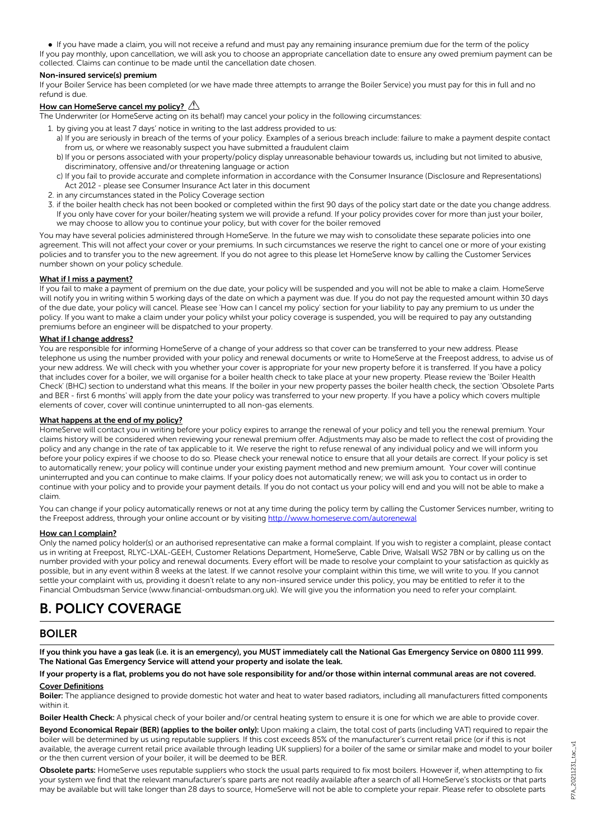l If you have made a claim, you will not receive a refund and must pay any remaining insurance premium due for the term of the policy If you pay monthly, upon cancellation, we will ask you to choose an appropriate cancellation date to ensure any owed premium payment can be collected. Claims can continue to be made until the cancellation date chosen.

#### Non-insured service(s) premium

If your Boiler Service has been completed (or we have made three attempts to arrange the Boiler Service) you must pay for this in full and no refund is due.

#### How can HomeServe cancel my policy?  $\mathbb{A}$

The Underwriter (or HomeServe acting on its behalf) may cancel your policy in the following circumstances:

- 1. by giving you at least 7 days' notice in writing to the last address provided to us:
	- a) If you are seriously in breach of the terms of your policy. Examples of a serious breach include: failure to make a payment despite contact from us, or where we reasonably suspect you have submitted a fraudulent claim
	- b) If you or persons associated with your property/policy display unreasonable behaviour towards us, including but not limited to abusive, discriminatory, offensive and/or threatening language or action
	- c) If you fail to provide accurate and complete information in accordance with the Consumer Insurance (Disclosure and Representations) Act 2012 - please see Consumer Insurance Act later in this document
- 2. in any circumstances stated in the Policy Coverage section
- 3. if the boiler health check has not been booked or completed within the first 90 days of the policy start date or the date you change address. If you only have cover for your boiler/heating system we will provide a refund. If your policy provides cover for more than just your boiler, we may choose to allow you to continue your policy, but with cover for the boiler removed

You may have several policies administered through HomeServe. In the future we may wish to consolidate these separate policies into one agreement. This will not affect your cover or your premiums. In such circumstances we reserve the right to cancel one or more of your existing policies and to transfer you to the new agreement. If you do not agree to this please let HomeServe know by calling the Customer Services number shown on your policy schedule.

#### What if I miss a payment?

If you fail to make a payment of premium on the due date, your policy will be suspended and you will not be able to make a claim. HomeServe will notify you in writing within 5 working days of the date on which a payment was due. If you do not pay the requested amount within 30 days of the due date, your policy will cancel. Please see 'How can I cancel my policy' section for your liability to pay any premium to us under the policy. If you want to make a claim under your policy whilst your policy coverage is suspended, you will be required to pay any outstanding premiums before an engineer will be dispatched to your property.

#### What if I change address?

You are responsible for informing HomeServe of a change of your address so that cover can be transferred to your new address. Please telephone us using the number provided with your policy and renewal documents or write to HomeServe at the Freepost address, to advise us of your new address. We will check with you whether your cover is appropriate for your new property before it is transferred. If you have a policy that includes cover for a boiler, we will organise for a boiler health check to take place at your new property. Please review the 'Boiler Health Check' (BHC) section to understand what this means. If the boiler in your new property passes the boiler health check, the section 'Obsolete Parts and BER - first 6 months' will apply from the date your policy was transferred to your new property. If you have a policy which covers multiple elements of cover, cover will continue uninterrupted to all non-gas elements.

#### What happens at the end of my policy?

HomeServe will contact you in writing before your policy expires to arrange the renewal of your policy and tell you the renewal premium. Your claims history will be considered when reviewing your renewal premium offer. Adjustments may also be made to reflect the cost of providing the policy and any change in the rate of tax applicable to it. We reserve the right to refuse renewal of any individual policy and we will inform you before your policy expires if we choose to do so. Please check your renewal notice to ensure that all your details are correct. If your policy is set to automatically renew; your policy will continue under your existing payment method and new premium amount. Your cover will continue uninterrupted and you can continue to make claims. If your policy does not automatically renew; we will ask you to contact us in order to continue with your policy and to provide your payment details. If you do not contact us your policy will end and you will not be able to make a claim.

You can change if your policy automatically renews or not at any time during the policy term by calling the Customer Services number, writing to the Freepost address, through your online account or by visiting <http://www.homeserve.com/autorenewal>

#### How can I complain?

Only the named policy holder(s) or an authorised representative can make a formal complaint. If you wish to register a complaint, please contact us in writing at Freepost, RLYC-LXAL-GEEH, Customer Relations Department, HomeServe, Cable Drive, Walsall WS2 7BN or by calling us on the number provided with your policy and renewal documents. Every effort will be made to resolve your complaint to your satisfaction as quickly as possible, but in any event within 8 weeks at the latest. If we cannot resolve your complaint within this time, we will write to you. If you cannot settle your complaint with us, providing it doesn't relate to any non-insured service under this policy, you may be entitled to refer it to the Financial Ombudsman Service (www.financial-ombudsman.org.uk). We will give you the information you need to refer your complaint.

## B. POLICY COVERAGE

#### BOILER

If you think you have a gas leak (i.e. it is an emergency), you MUST immediately call the National Gas Emergency Service on 0800 111 999. The National Gas Emergency Service will attend your property and isolate the leak.

If your property is a flat, problems you do not have sole responsibility for and/or those within internal communal areas are not covered. Cover Definitions

Boiler: The appliance designed to provide domestic hot water and heat to water based radiators, including all manufacturers fitted components within it.

Boiler Health Check: A physical check of your boiler and/or central heating system to ensure it is one for which we are able to provide cover.

Beyond Economical Repair (BER) (applies to the boiler only): Upon making a claim, the total cost of parts (including VAT) required to repair the boiler will be determined by us using reputable suppliers. If this cost exceeds 85% of the manufacturer's current retail price (or if this is not available, the average current retail price available through leading UK suppliers) for a boiler of the same or similar make and model to your boiler or the then current version of your boiler, it will be deemed to be BER.

Obsolete parts: HomeServe uses reputable suppliers who stock the usual parts required to fix most boilers. However if, when attempting to fix your system we find that the relevant manufacturer's spare parts are not readily available after a search of all HomeServe's stockists or that parts may be available but will take longer than 28 days to source, HomeServe will not be able to complete your repair. Please refer to obsolete parts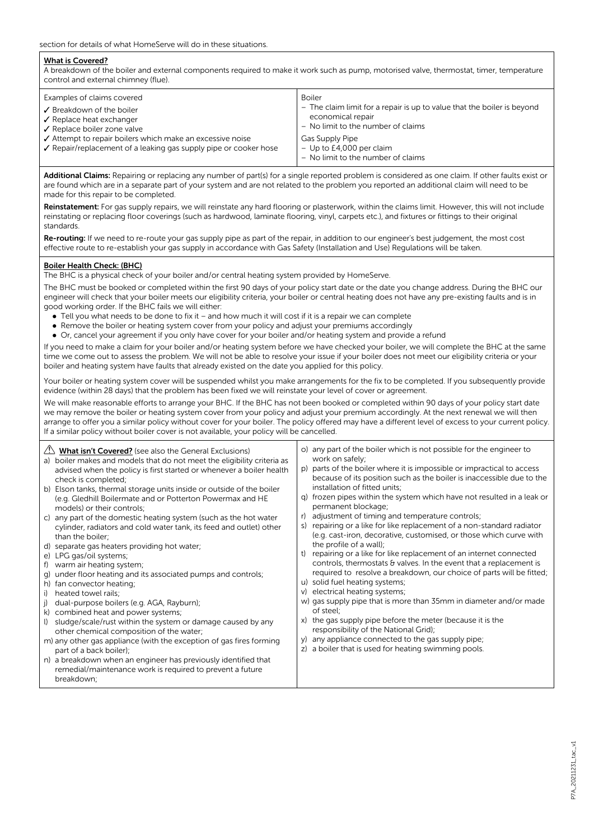#### What is Covered?

A breakdown of the boiler and external components required to make it work such as pump, motorised valve, thermostat, timer, temperature control and external chimney (flue).

| Examples of claims covered<br>✔ Breakdown of the boiler<br>$\sqrt{\ }$ Replace heat exchanger<br>✔ Replace boiler zone valve<br>Attempt to repair boilers which make an excessive noise<br>✔ Repair/replacement of a leaking gas supply pipe or cooker hose | Boiler<br>- The claim limit for a repair is up to value that the boiler is beyond<br>economical repair<br>- No limit to the number of claims<br>Gas Supply Pipe<br>$-$ Up to £4,000 per claim<br>- No limit to the number of claims |
|-------------------------------------------------------------------------------------------------------------------------------------------------------------------------------------------------------------------------------------------------------------|-------------------------------------------------------------------------------------------------------------------------------------------------------------------------------------------------------------------------------------|
|-------------------------------------------------------------------------------------------------------------------------------------------------------------------------------------------------------------------------------------------------------------|-------------------------------------------------------------------------------------------------------------------------------------------------------------------------------------------------------------------------------------|

Additional Claims: Repairing or replacing any number of part(s) for a single reported problem is considered as one claim. If other faults exist or are found which are in a separate part of your system and are not related to the problem you reported an additional claim will need to be made for this repair to be completed.

Reinstatement: For gas supply repairs, we will reinstate any hard flooring or plasterwork, within the claims limit. However, this will not include reinstating or replacing floor coverings (such as hardwood, laminate flooring, vinyl, carpets etc.), and fixtures or fittings to their original standards.

Re-routing: If we need to re-route your gas supply pipe as part of the repair, in addition to our engineer's best judgement, the most cost effective route to re-establish your gas supply in accordance with Gas Safety (Installation and Use) Regulations will be taken.

#### Boiler Health Check: (BHC)

The BHC is a physical check of your boiler and/or central heating system provided by HomeServe.

The BHC must be booked or completed within the first 90 days of your policy start date or the date you change address. During the BHC our engineer will check that your boiler meets our eligibility criteria, your boiler or central heating does not have any pre-existing faults and is in good working order. If the BHC fails we will either:

- Tell you what needs to be done to fix it and how much it will cost if it is a repair we can complete
- Remove the boiler or heating system cover from your policy and adjust your premiums accordingly
- Or, cancel your agreement if you only have cover for your boiler and/or heating system and provide a refund

If you need to make a claim for your boiler and/or heating system before we have checked your boiler, we will complete the BHC at the same time we come out to assess the problem. We will not be able to resolve your issue if your boiler does not meet our eligibility criteria or your boiler and heating system have faults that already existed on the date you applied for this policy.

Your boiler or heating system cover will be suspended whilst you make arrangements for the fix to be completed. If you subsequently provide evidence (within 28 days) that the problem has been fixed we will reinstate your level of cover or agreement.

We will make reasonable efforts to arrange your BHC. If the BHC has not been booked or completed within 90 days of your policy start date we may remove the boiler or heating system cover from your policy and adjust your premium accordingly. At the next renewal we will then arrange to offer you a similar policy without cover for your boiler. The policy offered may have a different level of excess to your current policy. If a similar policy without boiler cover is not available, your policy will be cancelled.

| $\langle \cdot \rangle$ What isn't Covered? (see also the General Exclusions)<br>a) boiler makes and models that do not meet the eligibility criteria as<br>advised when the policy is first started or whenever a boiler health<br>check is completed;<br>b) Elson tanks, thermal storage units inside or outside of the boiler<br>(e.g. Gledhill Boilermate and or Potterton Powermax and HE<br>models) or their controls;<br>c) any part of the domestic heating system (such as the hot water<br>cylinder, radiators and cold water tank, its feed and outlet) other<br>than the boiler;<br>d) separate gas heaters providing hot water;<br>e) LPG gas/oil systems;<br>f) warm air heating system;<br>g) under floor heating and its associated pumps and controls;<br>h) fan convector heating;<br>heated towel rails;<br>i)<br>dual-purpose boilers (e.g. AGA, Rayburn);<br>i)<br>k) combined heat and power systems;<br>sludge/scale/rust within the system or damage caused by any<br>$\cup$<br>other chemical composition of the water;<br>m) any other gas appliance (with the exception of gas fires forming<br>part of a back boiler);<br>n) a breakdown when an engineer has previously identified that<br>remedial/maintenance work is required to prevent a future<br>breakdown; | o) any part of the boiler which is not possible for the engineer to<br>work on safely;<br>parts of the boiler where it is impossible or impractical to access<br>(p<br>because of its position such as the boiler is inaccessible due to the<br>installation of fitted units;<br>frozen pipes within the system which have not resulted in a leak or<br>a)<br>permanent blockage;<br>adjustment of timing and temperature controls;<br>r)<br>repairing or a like for like replacement of a non-standard radiator<br>S)<br>(e.g. cast-iron, decorative, customised, or those which curve with<br>the profile of a wall);<br>repairing or a like for like replacement of an internet connected<br>t)<br>controls, thermostats & valves. In the event that a replacement is<br>required to resolve a breakdown, our choice of parts will be fitted;<br>u) solid fuel heating systems;<br>v) electrical heating systems;<br>w) gas supply pipe that is more than 35mm in diameter and/or made<br>of steel;<br>the gas supply pipe before the meter (because it is the<br>responsibility of the National Grid);<br>any appliance connected to the gas supply pipe;<br>y)<br>a boiler that is used for heating swimming pools.<br>Z) |
|-------------------------------------------------------------------------------------------------------------------------------------------------------------------------------------------------------------------------------------------------------------------------------------------------------------------------------------------------------------------------------------------------------------------------------------------------------------------------------------------------------------------------------------------------------------------------------------------------------------------------------------------------------------------------------------------------------------------------------------------------------------------------------------------------------------------------------------------------------------------------------------------------------------------------------------------------------------------------------------------------------------------------------------------------------------------------------------------------------------------------------------------------------------------------------------------------------------------------------------------------------------------------------------------------|--------------------------------------------------------------------------------------------------------------------------------------------------------------------------------------------------------------------------------------------------------------------------------------------------------------------------------------------------------------------------------------------------------------------------------------------------------------------------------------------------------------------------------------------------------------------------------------------------------------------------------------------------------------------------------------------------------------------------------------------------------------------------------------------------------------------------------------------------------------------------------------------------------------------------------------------------------------------------------------------------------------------------------------------------------------------------------------------------------------------------------------------------------------------------------------------------------------------------------|
|-------------------------------------------------------------------------------------------------------------------------------------------------------------------------------------------------------------------------------------------------------------------------------------------------------------------------------------------------------------------------------------------------------------------------------------------------------------------------------------------------------------------------------------------------------------------------------------------------------------------------------------------------------------------------------------------------------------------------------------------------------------------------------------------------------------------------------------------------------------------------------------------------------------------------------------------------------------------------------------------------------------------------------------------------------------------------------------------------------------------------------------------------------------------------------------------------------------------------------------------------------------------------------------------------|--------------------------------------------------------------------------------------------------------------------------------------------------------------------------------------------------------------------------------------------------------------------------------------------------------------------------------------------------------------------------------------------------------------------------------------------------------------------------------------------------------------------------------------------------------------------------------------------------------------------------------------------------------------------------------------------------------------------------------------------------------------------------------------------------------------------------------------------------------------------------------------------------------------------------------------------------------------------------------------------------------------------------------------------------------------------------------------------------------------------------------------------------------------------------------------------------------------------------------|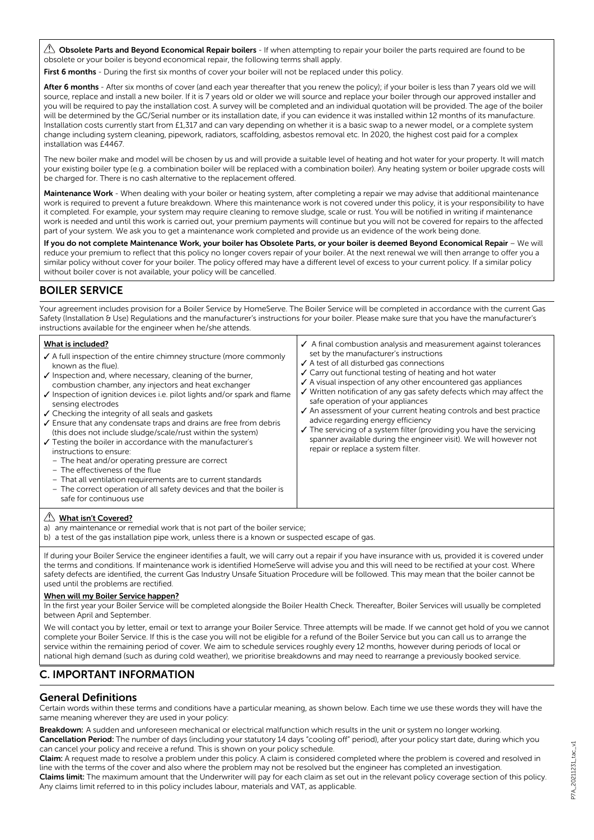$\triangle$  Obsolete Parts and Beyond Economical Repair boilers - If when attempting to repair your boiler the parts required are found to be obsolete or your boiler is beyond economical repair, the following terms shall apply.

First 6 months - During the first six months of cover your boiler will not be replaced under this policy.

After 6 months - After six months of cover (and each year thereafter that you renew the policy); if your boiler is less than 7 years old we will source, replace and install a new boiler. If it is 7 years old or older we will source and replace your boiler through our approved installer and you will be required to pay the installation cost. A survey will be completed and an individual quotation will be provided. The age of the boiler will be determined by the GC/Serial number or its installation date, if you can evidence it was installed within 12 months of its manufacture. Installation costs currently start from £1,317 and can vary depending on whether it is a basic swap to a newer model, or a complete system change including system cleaning, pipework, radiators, scaffolding, asbestos removal etc. In 2020, the highest cost paid for a complex installation was £4467.

The new boiler make and model will be chosen by us and will provide a suitable level of heating and hot water for your property. It will match your existing boiler type (e.g. a combination boiler will be replaced with a combination boiler). Any heating system or boiler upgrade costs will be charged for. There is no cash alternative to the replacement offered.

Maintenance Work - When dealing with your boiler or heating system, after completing a repair we may advise that additional maintenance work is required to prevent a future breakdown. Where this maintenance work is not covered under this policy, it is your responsibility to have it completed. For example, your system may require cleaning to remove sludge, scale or rust. You will be notified in writing if maintenance work is needed and until this work is carried out, your premium payments will continue but you will not be covered for repairs to the affected part of your system. We ask you to get a maintenance work completed and provide us an evidence of the work being done.

If you do not complete Maintenance Work, your boiler has Obsolete Parts, or your boiler is deemed Beyond Economical Repair – We will reduce your premium to reflect that this policy no longer covers repair of your boiler. At the next renewal we will then arrange to offer you a similar policy without cover for your boiler. The policy offered may have a different level of excess to your current policy. If a similar policy without boiler cover is not available, your policy will be cancelled.

## BOILER SERVICE

Your agreement includes provision for a Boiler Service by HomeServe. The Boiler Service will be completed in accordance with the current Gas Safety (Installation & Use) Regulations and the manufacturer's instructions for your boiler. Please make sure that you have the manufacturer's instructions available for the engineer when he/she attends.

 $\checkmark$  Written notification of any gas safety defects which may affect the

 $\checkmark$  An assessment of your current heating controls and best practice

The servicing of a system filter (providing you have the servicing spanner available during the engineer visit). We will however not

safe operation of your appliances

advice regarding energy efficiency

repair or replace a system filter.

#### What is included?

- $\checkmark$  A full inspection of the entire chimney structure (more commonly known as the flue).  $\checkmark$  Inspection and, where necessary, cleaning of the burner,  $\checkmark$  A final combustion analysis and measurement against tolerances set by the manufacturer's instructions  $\checkmark$  A test of all disturbed gas connections  $\checkmark$  Carry out functional testing of heating and hot water  $\checkmark$  A visual inspection of any other encountered gas appliances
- combustion chamber, any injectors and heat exchanger  $J$  Inspection of ignition devices i.e. pilot lights and/or spark and flame
- sensing electrodes  $\checkmark$  Checking the integrity of all seals and gaskets
- $\checkmark$  Ensure that any condensate traps and drains are free from debris (this does not include sludge/scale/rust within the system)
- $\checkmark$  Testing the boiler in accordance with the manufacturer's instructions to ensure:
	- The heat and/or operating pressure are correct
	- The effectiveness of the flue
	- That all ventilation requirements are to current standards
	- The correct operation of all safety devices and that the boiler is safe for continuous use

#### **A** What isn't Covered?

a) any maintenance or remedial work that is not part of the boiler service;

b) a test of the gas installation pipe work, unless there is a known or suspected escape of gas.

If during your Boiler Service the engineer identifies a fault, we will carry out a repair if you have insurance with us, provided it is covered under the terms and conditions. If maintenance work is identified HomeServe will advise you and this will need to be rectified at your cost. Where safety defects are identified, the current Gas Industry Unsafe Situation Procedure will be followed. This may mean that the boiler cannot be used until the problems are rectified.

#### When will my Boiler Service happen?

In the first year your Boiler Service will be completed alongside the Boiler Health Check. Thereafter, Boiler Services will usually be completed between April and September.

We will contact you by letter, email or text to arrange your Boiler Service. Three attempts will be made. If we cannot get hold of you we cannot complete your Boiler Service. If this is the case you will not be eligible for a refund of the Boiler Service but you can call us to arrange the service within the remaining period of cover. We aim to schedule services roughly every 12 months, however during periods of local or national high demand (such as during cold weather), we prioritise breakdowns and may need to rearrange a previously booked service.

## C. IMPORTANT INFORMATION

#### General Definitions

Certain words within these terms and conditions have a particular meaning, as shown below. Each time we use these words they will have the same meaning wherever they are used in your policy:

Breakdown: A sudden and unforeseen mechanical or electrical malfunction which results in the unit or system no longer working. Cancellation Period: The number of days (including your statutory 14 days "cooling off" period), after your policy start date, during which you can cancel your policy and receive a refund. This is shown on your policy schedule.

Claim: A request made to resolve a problem under this policy. A claim is considered completed where the problem is covered and resolved in line with the terms of the cover and also where the problem may not be resolved but the engineer has completed an investigation. Claims limit: The maximum amount that the Underwriter will pay for each claim as set out in the relevant policy coverage section of this policy. Any claims limit referred to in this policy includes labour, materials and VAT, as applicable.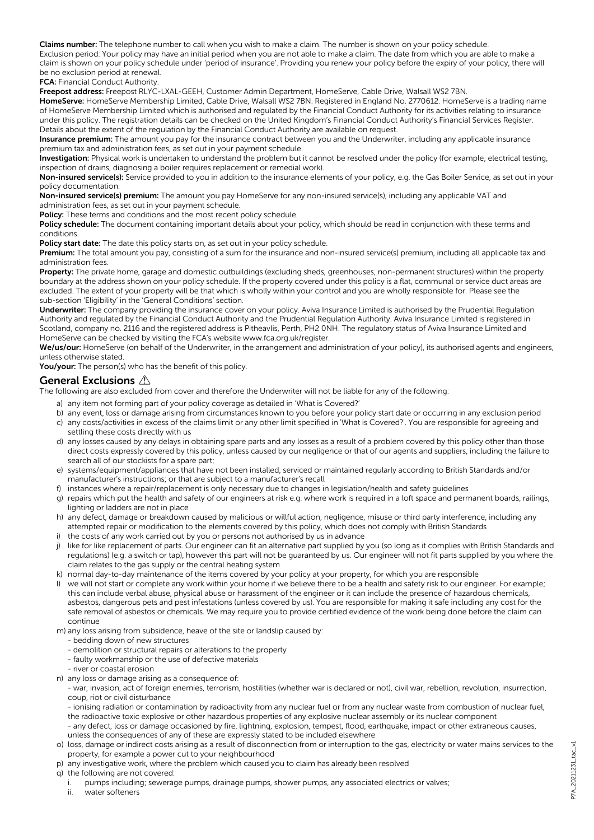Claims number: The telephone number to call when you wish to make a claim. The number is shown on your policy schedule.

Exclusion period: Your policy may have an initial period when you are not able to make a claim. The date from which you are able to make a claim is shown on your policy schedule under 'period of insurance'. Providing you renew your policy before the expiry of your policy, there will be no exclusion period at renewal.

#### FCA: Financial Conduct Authority.

Freepost address: Freepost RLYC-LXAL-GEEH, Customer Admin Department, HomeServe, Cable Drive, Walsall WS2 7BN.

HomeServe: HomeServe Membership Limited, Cable Drive, Walsall WS2 7BN. Registered in England No. 2770612. HomeServe is a trading name of HomeServe Membership Limited which is authorised and regulated by the Financial Conduct Authority for its activities relating to insurance under this policy. The registration details can be checked on the United Kingdom's Financial Conduct Authority's Financial Services Register. Details about the extent of the regulation by the Financial Conduct Authority are available on request.

Insurance premium: The amount you pay for the insurance contract between you and the Underwriter, including any applicable insurance premium tax and administration fees, as set out in your payment schedule.

Investigation: Physical work is undertaken to understand the problem but it cannot be resolved under the policy (for example; electrical testing, inspection of drains, diagnosing a boiler requires replacement or remedial work).

Non-insured service(s): Service provided to you in addition to the insurance elements of your policy, e.g. the Gas Boiler Service, as set out in your policy documentation.

Non-insured service(s) premium: The amount you pay HomeServe for any non-insured service(s), including any applicable VAT and administration fees, as set out in your payment schedule.

Policy: These terms and conditions and the most recent policy schedule.

Policy schedule: The document containing important details about your policy, which should be read in conjunction with these terms and conditions.

Policy start date: The date this policy starts on, as set out in your policy schedule.

Premium: The total amount you pay, consisting of a sum for the insurance and non-insured service(s) premium, including all applicable tax and administration fees.

Property: The private home, garage and domestic outbuildings (excluding sheds, greenhouses, non-permanent structures) within the property boundary at the address shown on your policy schedule. If the property covered under this policy is a flat, communal or service duct areas are excluded. The extent of your property will be that which is wholly within your control and you are wholly responsible for. Please see the sub-section 'Eligibility' in the 'General Conditions' section.

Underwriter: The company providing the insurance cover on your policy. Aviva Insurance Limited is authorised by the Prudential Regulation Authority and regulated by the Financial Conduct Authority and the Prudential Regulation Authority. Aviva Insurance Limited is registered in Scotland, company no. 2116 and the registered address is Pitheavlis, Perth, PH2 0NH. The regulatory status of Aviva Insurance Limited and HomeServe can be checked by visiting the FCA's website www.fca.org.uk/register.

We/us/our: HomeServe (on behalf of the Underwriter, in the arrangement and administration of your policy), its authorised agents and engineers. unless otherwise stated.

You/your: The person(s) who has the benefit of this policy.

#### General Exclusions A

The following are also excluded from cover and therefore the Underwriter will not be liable for any of the following:

- a) any item not forming part of your policy coverage as detailed in 'What is Covered?'
- b) any event, loss or damage arising from circumstances known to you before your policy start date or occurring in any exclusion period
- c) any costs/activities in excess of the claims limit or any other limit specified in 'What is Covered?'. You are responsible for agreeing and settling these costs directly with us
- d) any losses caused by any delays in obtaining spare parts and any losses as a result of a problem covered by this policy other than those direct costs expressly covered by this policy, unless caused by our negligence or that of our agents and suppliers, including the failure to search all of our stockists for a spare part;
- e) systems/equipment/appliances that have not been installed, serviced or maintained regularly according to British Standards and/or manufacturer's instructions; or that are subject to a manufacturer's recall
- f) instances where a repair/replacement is only necessary due to changes in legislation/health and safety guidelines
- g) repairs which put the health and safety of our engineers at risk e.g. where work is required in a loft space and permanent boards, railings, lighting or ladders are not in place
- h) any defect, damage or breakdown caused by malicious or willful action, negligence, misuse or third party interference, including any attempted repair or modification to the elements covered by this policy, which does not comply with British Standards
- i) the costs of any work carried out by you or persons not authorised by us in advance
- j) like for like replacement of parts. Our engineer can fit an alternative part supplied by you (so long as it complies with British Standards and regulations) (e.g. a switch or tap), however this part will not be guaranteed by us. Our engineer will not fit parts supplied by you where the claim relates to the gas supply or the central heating system
- k) normal day-to-day maintenance of the items covered by your policy at your property, for which you are responsible
- l) we will not start or complete any work within your home if we believe there to be a health and safety risk to our engineer. For example; this can include verbal abuse, physical abuse or harassment of the engineer or it can include the presence of hazardous chemicals, asbestos, dangerous pets and pest infestations (unless covered by us). You are responsible for making it safe including any cost for the safe removal of asbestos or chemicals. We may require you to provide certified evidence of the work being done before the claim can continue
- m) any loss arising from subsidence, heave of the site or landslip caused by:
	- bedding down of new structures
	- demolition or structural repairs or alterations to the property
	- faulty workmanship or the use of defective materials
	- river or coastal erosion
- n) any loss or damage arising as a consequence of:

- war, invasion, act of foreign enemies, terrorism, hostilities (whether war is declared or not), civil war, rebellion, revolution, insurrection, coup, riot or civil disturbance

- ionising radiation or contamination by radioactivity from any nuclear fuel or from any nuclear waste from combustion of nuclear fuel, the radioactive toxic explosive or other hazardous properties of any explosive nuclear assembly or its nuclear component

- any defect, loss or damage occasioned by fire, lightning, explosion, tempest, flood, earthquake, impact or other extraneous causes, unless the consequences of any of these are expressly stated to be included elsewhere

- o) loss, damage or indirect costs arising as a result of disconnection from or interruption to the gas, electricity or water mains services to the property, for example a power cut to your neighbourhood
- p) any investigative work, where the problem which caused you to claim has already been resolved
- q) the following are not covered:

i. pumps including; sewerage pumps, drainage pumps, shower pumps, any associated electrics or valves;

ii. water softeners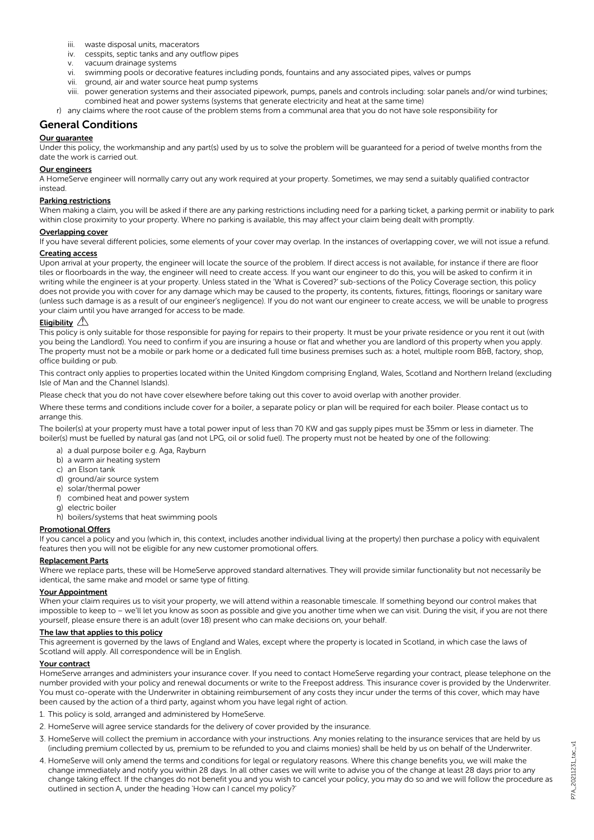- iii. waste disposal units, macerators
- iv. cesspits, septic tanks and any outflow pipes
- v. vacuum drainage systems
- vi. swimming pools or decorative features including ponds, fountains and any associated pipes, valves or pumps
- vii. ground, air and water source heat pump systems
- viii. power generation systems and their associated pipework, pumps, panels and controls including: solar panels and/or wind turbines; combined heat and power systems (systems that generate electricity and heat at the same time)
- r) any claims where the root cause of the problem stems from a communal area that you do not have sole responsibility for

## General Conditions

#### Our guarantee

Under this policy, the workmanship and any part(s) used by us to solve the problem will be guaranteed for a period of twelve months from the date the work is carried out.

#### Our engineers

A HomeServe engineer will normally carry out any work required at your property. Sometimes, we may send a suitably qualified contractor instead.

#### Parking restrictions

When making a claim, you will be asked if there are any parking restrictions including need for a parking ticket, a parking permit or inability to park within close proximity to your property. Where no parking is available, this may affect your claim being dealt with promptly.

#### Overlapping cover

If you have several different policies, some elements of your cover may overlap. In the instances of overlapping cover, we will not issue a refund.

#### Creating access

Upon arrival at your property, the engineer will locate the source of the problem. If direct access is not available, for instance if there are floor tiles or floorboards in the way, the engineer will need to create access. If you want our engineer to do this, you will be asked to confirm it in writing while the engineer is at your property. Unless stated in the 'What is Covered?' sub-sections of the Policy Coverage section, this policy does not provide you with cover for any damage which may be caused to the property, its contents, fixtures, fittings, floorings or sanitary ware (unless such damage is as a result of our engineer's negligence). If you do not want our engineer to create access, we will be unable to progress your claim until you have arranged for access to be made.

#### Eligibility  $\mathbb{A}$

This policy is only suitable for those responsible for paying for repairs to their property. It must be your private residence or you rent it out (with you being the Landlord). You need to confirm if you are insuring a house or flat and whether you are landlord of this property when you apply. The property must not be a mobile or park home or a dedicated full time business premises such as: a hotel, multiple room B&B, factory, shop, office building or pub.

This contract only applies to properties located within the United Kingdom comprising England, Wales, Scotland and Northern Ireland (excluding Isle of Man and the Channel Islands).

Please check that you do not have cover elsewhere before taking out this cover to avoid overlap with another provider.

Where these terms and conditions include cover for a boiler, a separate policy or plan will be required for each boiler. Please contact us to arrange this.

The boiler(s) at your property must have a total power input of less than 70 KW and gas supply pipes must be 35mm or less in diameter. The boiler(s) must be fuelled by natural gas (and not LPG, oil or solid fuel). The property must not be heated by one of the following:

- a) a dual purpose boiler e.g. Aga, Rayburn
- b) a warm air heating system
- c) an Elson tank
- d) ground/air source system
- e) solar/thermal power
- f) combined heat and power system g) electric boiler
- 
- h) boilers/systems that heat swimming pools

#### Promotional Offers

If you cancel a policy and you (which in, this context, includes another individual living at the property) then purchase a policy with equivalent features then you will not be eligible for any new customer promotional offers.

#### Replacement Parts

Where we replace parts, these will be HomeServe approved standard alternatives. They will provide similar functionality but not necessarily be identical, the same make and model or same type of fitting.

#### Your Appointment

When your claim requires us to visit your property, we will attend within a reasonable timescale. If something beyond our control makes that impossible to keep to – we'll let you know as soon as possible and give you another time when we can visit. During the visit, if you are not there yourself, please ensure there is an adult (over 18) present who can make decisions on, your behalf.

#### The law that applies to this policy

This agreement is governed by the laws of England and Wales, except where the property is located in Scotland, in which case the laws of Scotland will apply. All correspondence will be in English.

#### Your contract

HomeServe arranges and administers your insurance cover. If you need to contact HomeServe regarding your contract, please telephone on the number provided with your policy and renewal documents or write to the Freepost address. This insurance cover is provided by the Underwriter. You must co-operate with the Underwriter in obtaining reimbursement of any costs they incur under the terms of this cover, which may have been caused by the action of a third party, against whom you have legal right of action.

- 1. This policy is sold, arranged and administered by HomeServe.
- 2. HomeServe will agree service standards for the delivery of cover provided by the insurance.
- 3. HomeServe will collect the premium in accordance with your instructions. Any monies relating to the insurance services that are held by us (including premium collected by us, premium to be refunded to you and claims monies) shall be held by us on behalf of the Underwriter.
- 4. HomeServe will only amend the terms and conditions for legal or regulatory reasons. Where this change benefits you, we will make the change immediately and notify you within 28 days. In all other cases we will write to advise you of the change at least 28 days prior to any change taking effect. If the changes do not benefit you and you wish to cancel your policy, you may do so and we will follow the procedure as outlined in section A, under the heading 'How can I cancel my policy?'